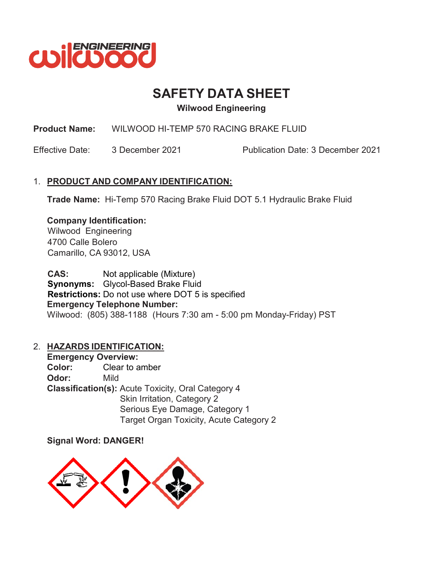

# **SAFETY DATA SHEET**

**Wilwood Engineering**

**Product Name:** WILWOOD HI-TEMP 570 RACING BRAKE FLUID

Effective Date: 3 December 2021 Publication Date: 3 December 2021

# 1. **PRODUCT AND COMPANY IDENTIFICATION:**

**Trade Name:** Hi-Temp 570 Racing Brake Fluid DOT 5.1 Hydraulic Brake Fluid

## **Company Identification:**

Wilwood Engineering 4700 Calle Bolero Camarillo, CA 93012, USA

CAS: Not applicable (Mixture) **Synonyms:** Glycol-Based Brake Fluid **Restrictions:** Do not use where DOT 5 is specified **Emergency Telephone Number:** Wilwood: (805) 388-1188 (Hours 7:30 am - 5:00 pm Monday-Friday) PST

# 2. **HAZARDS IDENTIFICATION:**

**Emergency Overview: Color:** Clear to amber **Odor:** Mild **Classification(s):** Acute Toxicity, Oral Category 4 Skin Irritation, Category 2 Serious Eye Damage, Category 1 Target Organ Toxicity, Acute Category 2

# **Signal Word: DANGER!**

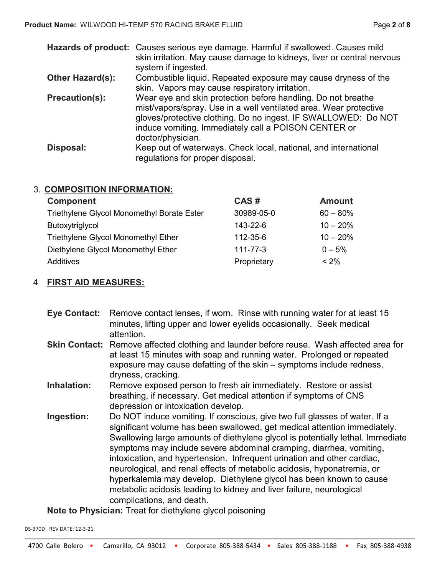|                       | Hazards of product: Causes serious eye damage. Harmful if swallowed. Causes mild<br>skin irritation. May cause damage to kidneys, liver or central nervous<br>system if ingested.                                                                                                |
|-----------------------|----------------------------------------------------------------------------------------------------------------------------------------------------------------------------------------------------------------------------------------------------------------------------------|
| Other Hazard(s):      | Combustible liquid. Repeated exposure may cause dryness of the<br>skin. Vapors may cause respiratory irritation.                                                                                                                                                                 |
| <b>Precaution(s):</b> | Wear eye and skin protection before handling. Do not breathe<br>mist/vapors/spray. Use in a well ventilated area. Wear protective<br>gloves/protective clothing. Do no ingest. IF SWALLOWED: Do NOT<br>induce vomiting. Immediately call a POISON CENTER or<br>doctor/physician. |
| Disposal:             | Keep out of waterways. Check local, national, and international<br>regulations for proper disposal.                                                                                                                                                                              |

### 3. **COMPOSITION INFORMATION:**

| <b>Component</b>                           | CAS#           | <b>Amount</b> |
|--------------------------------------------|----------------|---------------|
| Triethylene Glycol Monomethyl Borate Ester | 30989-05-0     | $60 - 80\%$   |
| Butoxytriglycol                            | 143-22-6       | $10 - 20%$    |
| <b>Triethylene Glycol Monomethyl Ether</b> | 112-35-6       | $10 - 20%$    |
| Diethylene Glycol Monomethyl Ether         | $111 - 77 - 3$ | $0 - 5\%$     |
| Additives                                  | Proprietary    | < 2%          |

## 4 **FIRST AID MEASURES:**

- **Eye Contact:** Remove contact lenses, if worn. Rinse with running water for at least 15 minutes, lifting upper and lower eyelids occasionally. Seek medical attention.
- **Skin Contact:** Remove affected clothing and launder before reuse. Wash affected area for at least 15 minutes with soap and running water. Prolonged or repeated exposure may cause defatting of the skin – symptoms include redness, dryness, cracking.
- **Inhalation:** Remove exposed person to fresh air immediately. Restore or assist breathing, if necessary. Get medical attention if symptoms of CNS depression or intoxication develop.
- **Ingestion:** Do NOT induce vomiting. If conscious, give two full glasses of water. If a significant volume has been swallowed, get medical attention immediately. Swallowing large amounts of diethylene glycol is potentially lethal. Immediate symptoms may include severe abdominal cramping, diarrhea, vomiting, intoxication, and hypertension. Infrequent urination and other cardiac, neurological, and renal effects of metabolic acidosis, hyponatremia, or hyperkalemia may develop. Diethylene glycol has been known to cause metabolic acidosis leading to kidney and liver failure, neurological complications, and death.

**Note to Physician:** Treat for diethylene glycol poisoning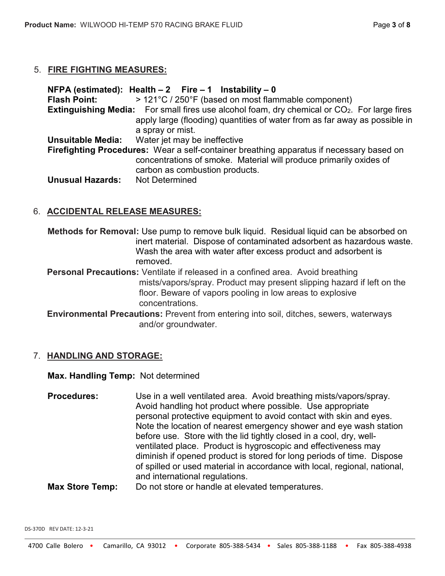### 5. **FIRE FIGHTING MEASURES:**

|                          | NFPA (estimated): Health $-2$ Fire $-1$ Instability $-0$                                                        |
|--------------------------|-----------------------------------------------------------------------------------------------------------------|
| <b>Flash Point:</b>      | > 121°C / 250°F (based on most flammable component)                                                             |
|                          | <b>Extinguishing Media:</b> For small fires use alcohol foam, dry chemical or CO <sub>2</sub> . For large fires |
|                          | apply large (flooding) quantities of water from as far away as possible in                                      |
|                          | a spray or mist.                                                                                                |
| <b>Unsuitable Media:</b> | Water jet may be ineffective                                                                                    |
|                          | Firefighting Procedures: Wear a self-container breathing apparatus if necessary based on                        |
|                          | concentrations of smoke. Material will produce primarily oxides of                                              |
|                          | carbon as combustion products.                                                                                  |
| <b>Unusual Hazards:</b>  | <b>Not Determined</b>                                                                                           |

## 6. **ACCIDENTAL RELEASE MEASURES:**

**Methods for Removal:** Use pump to remove bulk liquid. Residual liquid can be absorbed on inert material. Dispose of contaminated adsorbent as hazardous waste. Wash the area with water after excess product and adsorbent is removed.

**Personal Precautions:** Ventilate if released in a confined area. Avoid breathing mists/vapors/spray. Product may present slipping hazard if left on the floor. Beware of vapors pooling in low areas to explosive concentrations.

**Environmental Precautions:** Prevent from entering into soil, ditches, sewers, waterways and/or groundwater.

### 7. **HANDLING AND STORAGE:**

### **Max. Handling Temp:** Not determined

**Procedures:** Use in a well ventilated area. Avoid breathing mists/vapors/spray. Avoid handling hot product where possible. Use appropriate personal protective equipment to avoid contact with skin and eyes. Note the location of nearest emergency shower and eye wash station before use. Store with the lid tightly closed in a cool, dry, wellventilated place. Product is hygroscopic and effectiveness may diminish if opened product is stored for long periods of time. Dispose of spilled or used material in accordance with local, regional, national, and international regulations.

**Max Store Temp:** Do not store or handle at elevated temperatures.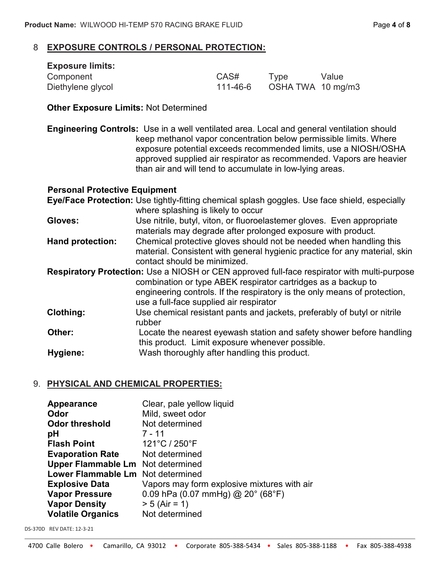### 8 **EXPOSURE CONTROLS / PERSONAL PROTECTION:**

| <b>Exposure limits:</b> |          |                   |       |
|-------------------------|----------|-------------------|-------|
| Component               | CAS#     | Tvpe              | Value |
| Diethylene glycol       | 111-46-6 | OSHA TWA 10 mg/m3 |       |

### **Other Exposure Limits:** Not Determined

**Engineering Controls:** Use in a well ventilated area. Local and general ventilation should keep methanol vapor concentration below permissible limits. Where exposure potential exceeds recommended limits, use a NIOSH/OSHA approved supplied air respirator as recommended. Vapors are heavier than air and will tend to accumulate in low-lying areas.

### **Personal Protective Equipment**

|                         | Eye/Face Protection: Use tightly-fitting chemical splash goggles. Use face shield, especially<br>where splashing is likely to occur                                                                                                                                                         |
|-------------------------|---------------------------------------------------------------------------------------------------------------------------------------------------------------------------------------------------------------------------------------------------------------------------------------------|
| Gloves:                 | Use nitrile, butyl, viton, or fluoroelastemer gloves. Even appropriate<br>materials may degrade after prolonged exposure with product.                                                                                                                                                      |
| <b>Hand protection:</b> | Chemical protective gloves should not be needed when handling this<br>material. Consistent with general hygienic practice for any material, skin<br>contact should be minimized.                                                                                                            |
|                         | <b>Respiratory Protection:</b> Use a NIOSH or CEN approved full-face respirator with multi-purpose<br>combination or type ABEK respirator cartridges as a backup to<br>engineering controls. If the respiratory is the only means of protection,<br>use a full-face supplied air respirator |
| Clothing:               | Use chemical resistant pants and jackets, preferably of butyl or nitrile<br>rubber                                                                                                                                                                                                          |
| Other:                  | Locate the nearest eyewash station and safety shower before handling<br>this product. Limit exposure whenever possible.                                                                                                                                                                     |
| Hygiene:                | Wash thoroughly after handling this product.                                                                                                                                                                                                                                                |

### 9. **PHYSICAL AND CHEMICAL PROPERTIES:**

| Appearance                               | Clear, pale yellow liquid                   |
|------------------------------------------|---------------------------------------------|
| Odor                                     | Mild, sweet odor                            |
| <b>Odor threshold</b>                    | Not determined                              |
| рH                                       | 7 - 11                                      |
| <b>Flash Point</b>                       | 121°C / 250°F                               |
| <b>Evaporation Rate</b>                  | Not determined                              |
| <b>Upper Flammable Lm</b> Not determined |                                             |
| Lower Flammable Lm Not determined        |                                             |
| <b>Explosive Data</b>                    | Vapors may form explosive mixtures with air |
| <b>Vapor Pressure</b>                    | 0.09 hPa (0.07 mmHg) @ 20° (68°F)           |
| <b>Vapor Density</b>                     | $> 5$ (Air = 1)                             |
| <b>Volatile Organics</b>                 | Not determined                              |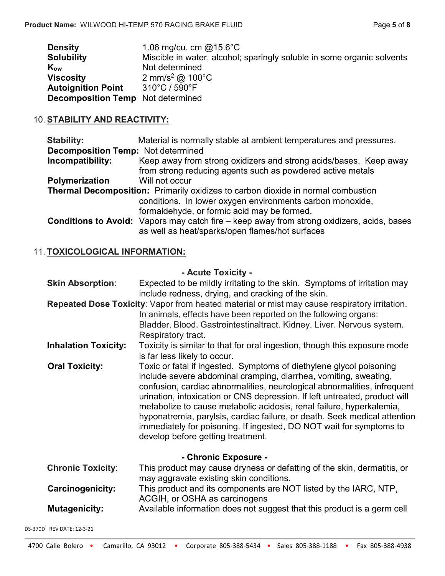| <b>Density</b>                           | 1.06 mg/cu. cm $@15.6^{\circ}$ C                                       |
|------------------------------------------|------------------------------------------------------------------------|
| <b>Solubility</b>                        | Miscible in water, alcohol; sparingly soluble in some organic solvents |
| Kow                                      | Not determined                                                         |
| <b>Viscosity</b>                         | 2 mm/s <sup>2</sup> @ 100°C                                            |
| <b>Autoignition Point</b>                | 310°C / 590°F                                                          |
| <b>Decomposition Temp</b> Not determined |                                                                        |

## 10. **STABILITY AND REACTIVITY:**

| <b>Stability:</b>                                                                       | Material is normally stable at ambient temperatures and pressures.                                                                                   |  |
|-----------------------------------------------------------------------------------------|------------------------------------------------------------------------------------------------------------------------------------------------------|--|
| <b>Decomposition Temp:</b> Not determined                                               |                                                                                                                                                      |  |
| Incompatibility:                                                                        | Keep away from strong oxidizers and strong acids/bases. Keep away                                                                                    |  |
|                                                                                         | from strong reducing agents such as powdered active metals                                                                                           |  |
| Polymerization                                                                          | Will not occur                                                                                                                                       |  |
| <b>Thermal Decomposition:</b> Primarily oxidizes to carbon dioxide in normal combustion |                                                                                                                                                      |  |
|                                                                                         | conditions. In lower oxygen environments carbon monoxide,                                                                                            |  |
|                                                                                         | formaldehyde, or formic acid may be formed.                                                                                                          |  |
|                                                                                         | <b>Conditions to Avoid:</b> Vapors may catch fire – keep away from strong oxidizers, acids, bases<br>as well as heat/sparks/open flames/hot surfaces |  |

# 11. **TOXICOLOGICAL INFORMATION:**

### **- Acute Toxicity -**

| <b>Skin Absorption:</b>     | Expected to be mildly irritating to the skin. Symptoms of irritation may<br>include redness, drying, and cracking of the skin.                                                                                                                                                                                                                                                                                                                                                                                                                                     |
|-----------------------------|--------------------------------------------------------------------------------------------------------------------------------------------------------------------------------------------------------------------------------------------------------------------------------------------------------------------------------------------------------------------------------------------------------------------------------------------------------------------------------------------------------------------------------------------------------------------|
|                             | Repeated Dose Toxicity: Vapor from heated material or mist may cause respiratory irritation.<br>In animals, effects have been reported on the following organs:<br>Bladder. Blood. Gastrointestinaltract. Kidney. Liver. Nervous system.<br>Respiratory tract.                                                                                                                                                                                                                                                                                                     |
| <b>Inhalation Toxicity:</b> | Toxicity is similar to that for oral ingestion, though this exposure mode<br>is far less likely to occur.                                                                                                                                                                                                                                                                                                                                                                                                                                                          |
| <b>Oral Toxicity:</b>       | Toxic or fatal if ingested. Symptoms of diethylene glycol poisoning<br>include severe abdominal cramping, diarrhea, vomiting, sweating,<br>confusion, cardiac abnormalities, neurological abnormalities, infrequent<br>urination, intoxication or CNS depression. If left untreated, product will<br>metabolize to cause metabolic acidosis, renal failure, hyperkalemia,<br>hyponatremia, parylsis, cardiac failure, or death. Seek medical attention<br>immediately for poisoning. If ingested, DO NOT wait for symptoms to<br>develop before getting treatment. |
|                             | - Chronic Exposure -                                                                                                                                                                                                                                                                                                                                                                                                                                                                                                                                               |
| <b>Chronic Toxicity:</b>    | This product may cause dryness or defatting of the skin, dermatitis, or<br>may aggravate existing skin conditions.                                                                                                                                                                                                                                                                                                                                                                                                                                                 |
| <b>Carcinogenicity:</b>     | This product and its components are NOT listed by the IARC, NTP,<br>ACGIH, or OSHA as carcinogens                                                                                                                                                                                                                                                                                                                                                                                                                                                                  |
| <b>Mutagenicity:</b>        | Available information does not suggest that this product is a germ cell                                                                                                                                                                                                                                                                                                                                                                                                                                                                                            |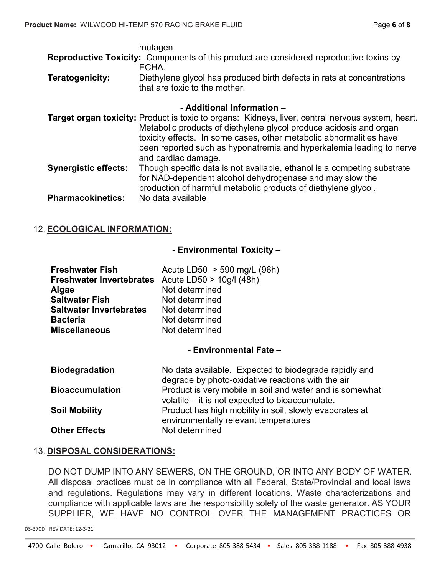|                 | mutagen                                                                                                 |
|-----------------|---------------------------------------------------------------------------------------------------------|
|                 | <b>Reproductive Toxicity:</b> Components of this product are considered reproductive toxins by          |
|                 | ECHA.                                                                                                   |
| Teratogenicity: | Diethylene glycol has produced birth defects in rats at concentrations<br>that are toxic to the mother. |
|                 | - Additional Information -                                                                              |
|                 | Target organ toxicity: Product is toxic to organs: Kidneys, liver, central nervous system, heart.       |
|                 | Metabolic products of diethylene glycol produce acidosis and organ                                      |

- Metabolic products of diethylene glycol produce acidosis and organ toxicity effects. In some cases, other metabolic abnormalities have been reported such as hyponatremia and hyperkalemia leading to nerve and cardiac damage. **Synergistic effects:** Though specific data is not available, ethanol is a competing substrate
- for NAD-dependent alcohol dehydrogenase and may slow the production of harmful metabolic products of diethylene glycol. **Pharmacokinetics:** No data available

## 12. **ECOLOGICAL INFORMATION:**

### **- Environmental Toxicity –**

| Acute LD50 $>$ 590 mg/L (96h)                     |
|---------------------------------------------------|
| Freshwater Invertebrates Acute LD50 > 10g/l (48h) |
| Not determined                                    |
| Not determined                                    |
| Not determined                                    |
| Not determined                                    |
| Not determined                                    |
|                                                   |

### **- Environmental Fate –**

| <b>Biodegradation</b>  | No data available. Expected to biodegrade rapidly and<br>degrade by photo-oxidative reactions with the air  |
|------------------------|-------------------------------------------------------------------------------------------------------------|
| <b>Bioaccumulation</b> | Product is very mobile in soil and water and is somewhat<br>volatile – it is not expected to bioaccumulate. |
| <b>Soil Mobility</b>   | Product has high mobility in soil, slowly evaporates at<br>environmentally relevant temperatures            |
| <b>Other Effects</b>   | Not determined                                                                                              |

### 13. **DISPOSAL CONSIDERATIONS:**

DO NOT DUMP INTO ANY SEWERS, ON THE GROUND, OR INTO ANY BODY OF WATER. All disposal practices must be in compliance with all Federal, State/Provincial and local laws and regulations. Regulations may vary in different locations. Waste characterizations and compliance with applicable laws are the responsibility solely of the waste generator. AS YOUR SUPPLIER, WE HAVE NO CONTROL OVER THE MANAGEMENT PRACTICES OR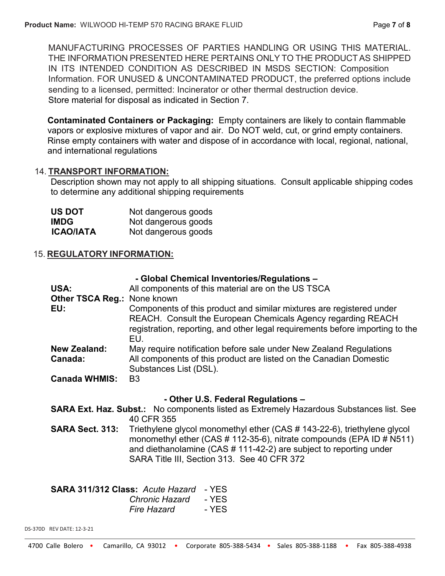MANUFACTURING PROCESSES OF PARTIES HANDLING OR USING THIS MATERIAL. THE INFORMATION PRESENTED HERE PERTAINS ONLY TO THE PRODUCTAS SHIPPED IN ITS INTENDED CONDITION AS DESCRIBED IN MSDS SECTION: Composition Information. FOR UNUSED & UNCONTAMINATED PRODUCT, the preferred options include sending to a licensed, permitted: Incinerator or other thermal destruction device. Store material for disposal as indicated in Section 7.

**Contaminated Containers or Packaging:** Empty containers are likely to contain flammable vapors or explosive mixtures of vapor and air. Do NOT weld, cut, or grind empty containers. Rinse empty containers with water and dispose of in accordance with local, regional, national, and international regulations

### 14. **TRANSPORT INFORMATION:**

Description shown may not apply to all shipping situations. Consult applicable shipping codes to determine any additional shipping requirements

| <b>US DOT</b>    | Not dangerous goods |
|------------------|---------------------|
| <b>IMDG</b>      | Not dangerous goods |
| <b>ICAO/IATA</b> | Not dangerous goods |

## 15. **REGULATORY INFORMATION:**

| - Global Chemical Inventories/Regulations - |
|---------------------------------------------|
|---------------------------------------------|

| USA:                               | All components of this material are on the US TSCA                                                                                                                                                                           |  |
|------------------------------------|------------------------------------------------------------------------------------------------------------------------------------------------------------------------------------------------------------------------------|--|
| <b>Other TSCA Reg.: None known</b> |                                                                                                                                                                                                                              |  |
| EU:                                | Components of this product and similar mixtures are registered under<br>REACH. Consult the European Chemicals Agency regarding REACH<br>registration, reporting, and other legal requirements before importing to the<br>EU. |  |
| <b>New Zealand:</b>                | May require notification before sale under New Zealand Regulations                                                                                                                                                           |  |
| Canada:                            | All components of this product are listed on the Canadian Domestic<br>Substances List (DSL).                                                                                                                                 |  |
| <b>Canada WHMIS:</b>               | B <sub>3</sub>                                                                                                                                                                                                               |  |

### **- Other U.S. Federal Regulations –**

**SARA Ext. Haz. Subst.:** No components listed as Extremely Hazardous Substances list. See 40 CFR 355

**SARA Sect. 313:** Triethylene glycol monomethyl ether (CAS # 143-22-6), triethylene glycol monomethyl ether (CAS # 112-35-6), nitrate compounds (EPA ID # N511) and diethanolamine (CAS # 111-42-2) are subject to reporting under SARA Title III, Section 313. See 40 CFR 372

**SARA 311/312 Class:** *Acute Hazard* - YES *Chronic Hazard* - YES *Fire Hazard* - YFS